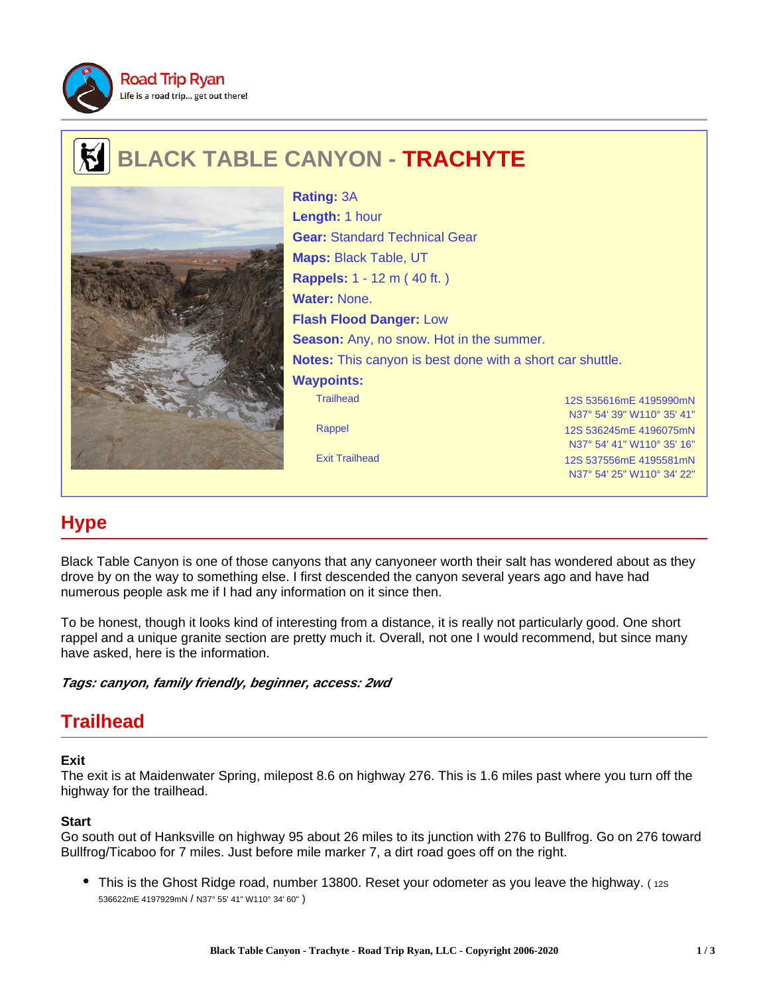

# **BLACK TABLE CANYON - TRACHYTE**



Trailhead 12S 535616mE 4195990mN N37° 54' 39" W110° 35' 41" Rappel 12S 536245mE 4196075mN N37° 54' 41" W110° 35' 16" Exit Trailhead 12S 537556mE 4195581mN **Rating:** 3A **Length:** 1 hour **Gear:** Standard Technical Gear **Maps:** Black Table, UT **Rappels:** 1 - 12 m ( 40 ft. ) **Water:** None. **Flash Flood Danger:** Low **Season:** Any, no snow. Hot in the summer. **Notes:** This canyon is best done with a short car shuttle. **Waypoints:**

# **Hype**

Black Table Canyon is one of those canyons that any canyoneer worth their salt has wondered about as they drove by on the way to something else. I first descended the canyon several years ago and have had numerous people ask me if I had any information on it since then.

To be honest, though it looks kind of interesting from a distance, it is really not particularly good. One short rappel and a unique granite section are pretty much it. Overall, not one I would recommend, but since many have asked, here is the information.

**Tags: canyon, family friendly, beginner, access: 2wd**

## **Trailhead**

#### **Exit**

The exit is at Maidenwater Spring, milepost 8.6 on highway 276. This is 1.6 miles past where you turn off the highway for the trailhead.

#### **Start**

Go south out of Hanksville on highway 95 about 26 miles to its junction with 276 to Bullfrog. Go on 276 toward Bullfrog/Ticaboo for 7 miles. Just before mile marker 7, a dirt road goes off on the right.

• This is the Ghost Ridge road, number 13800. Reset your odometer as you leave the highway. (12S) 536622mE 4197929mN / N37° 55' 41" W110° 34' 60" )

N37° 54' 25" W110° 34' 22"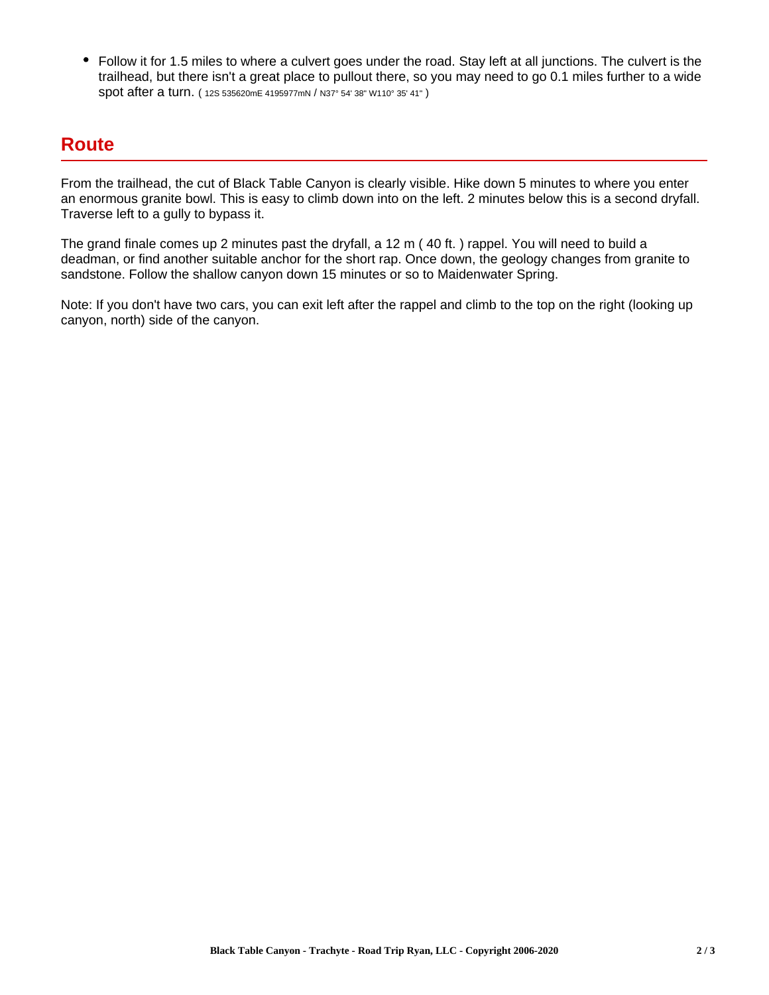Follow it for 1.5 miles to where a culvert goes under the road. Stay left at all junctions. The culvert is the trailhead, but there isn't a great place to pullout there, so you may need to go 0.1 miles further to a wide spot after a turn. ( 12S 535620mE 4195977mN / N37° 54' 38" W110° 35' 41" )

### **Route**

From the trailhead, the cut of Black Table Canyon is clearly visible. Hike down 5 minutes to where you enter an enormous granite bowl. This is easy to climb down into on the left. 2 minutes below this is a second dryfall. Traverse left to a gully to bypass it.

The grand finale comes up 2 minutes past the dryfall, a 12 m ( 40 ft. ) rappel. You will need to build a deadman, or find another suitable anchor for the short rap. Once down, the geology changes from granite to sandstone. Follow the shallow canyon down 15 minutes or so to Maidenwater Spring.

Note: If you don't have two cars, you can exit left after the rappel and climb to the top on the right (looking up canyon, north) side of the canyon.